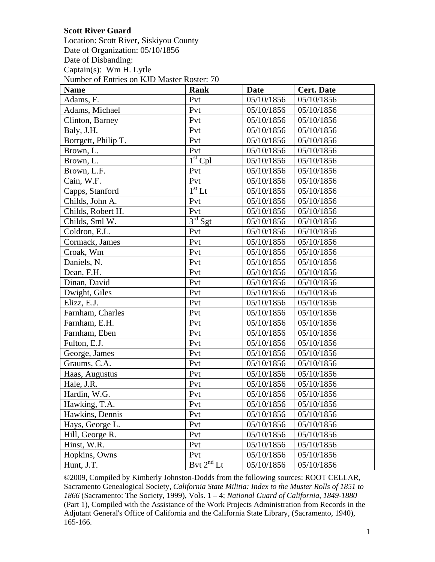## **Scott River Guard**

Location: Scott River, Siskiyou County Date of Organization: 05/10/1856 Date of Disbanding: Captain(s): Wm H. Lytle Number of Entries on KJD Master Roster: 70

| <b>Name</b>         | <b>Rank</b>         | Date       | <b>Cert. Date</b> |
|---------------------|---------------------|------------|-------------------|
| Adams, F.           | Pvt                 | 05/10/1856 | 05/10/1856        |
| Adams, Michael      | Pvt                 | 05/10/1856 | 05/10/1856        |
| Clinton, Barney     | Pvt                 | 05/10/1856 | 05/10/1856        |
| Baly, J.H.          | Pvt                 | 05/10/1856 | 05/10/1856        |
| Borrgett, Philip T. | Pvt                 | 05/10/1856 | 05/10/1856        |
| Brown, L.           | Pvt                 | 05/10/1856 | 05/10/1856        |
| Brown, L.           | $1st$ Cpl           | 05/10/1856 | 05/10/1856        |
| Brown, L.F.         | Pvt                 | 05/10/1856 | 05/10/1856        |
| Cain, W.F.          | Pvt                 | 05/10/1856 | 05/10/1856        |
| Capps, Stanford     | $1st$ Lt            | 05/10/1856 | 05/10/1856        |
| Childs, John A.     | Pvt                 | 05/10/1856 | 05/10/1856        |
| Childs, Robert H.   | Pvt                 | 05/10/1856 | 05/10/1856        |
| Childs, Sml W.      | 3 <sup>rd</sup> Sgt | 05/10/1856 | 05/10/1856        |
| Coldron, E.L.       | Pvt                 | 05/10/1856 | 05/10/1856        |
| Cormack, James      | Pvt                 | 05/10/1856 | 05/10/1856        |
| Croak, Wm           | Pvt                 | 05/10/1856 | 05/10/1856        |
| Daniels, N.         | Pvt                 | 05/10/1856 | 05/10/1856        |
| Dean, F.H.          | Pvt                 | 05/10/1856 | 05/10/1856        |
| Dinan, David        | Pvt                 | 05/10/1856 | 05/10/1856        |
| Dwight, Giles       | Pvt                 | 05/10/1856 | 05/10/1856        |
| Elizz, E.J.         | Pvt                 | 05/10/1856 | 05/10/1856        |
| Farnham, Charles    | Pvt                 | 05/10/1856 | 05/10/1856        |
| Farnham, E.H.       | Pvt                 | 05/10/1856 | 05/10/1856        |
| Farnham, Eben       | Pvt                 | 05/10/1856 | 05/10/1856        |
| Fulton, E.J.        | Pvt                 | 05/10/1856 | 05/10/1856        |
| George, James       | Pvt                 | 05/10/1856 | 05/10/1856        |
| Graums, C.A.        | Pvt                 | 05/10/1856 | 05/10/1856        |
| Haas, Augustus      | Pvt                 | 05/10/1856 | 05/10/1856        |
| Hale, J.R.          | Pvt                 | 05/10/1856 | 05/10/1856        |
| Hardin, W.G.        | Pvt                 | 05/10/1856 | 05/10/1856        |
| Hawking, T.A.       | Pvt                 | 05/10/1856 | 05/10/1856        |
| Hawkins, Dennis     | Pvt                 | 05/10/1856 | 05/10/1856        |
| Hays, George L.     | Pvt                 | 05/10/1856 | 05/10/1856        |
| Hill, George R.     | Pvt                 | 05/10/1856 | 05/10/1856        |
| Hinst, W.R.         | Pvt                 | 05/10/1856 | 05/10/1856        |
| Hopkins, Owns       | Pvt                 | 05/10/1856 | 05/10/1856        |
| Hunt, J.T.          | Bvt $2^{nd}$ Lt     | 05/10/1856 | 05/10/1856        |

©2009, Compiled by Kimberly Johnston-Dodds from the following sources: ROOT CELLAR, Sacramento Genealogical Society, *California State Militia: Index to the Muster Rolls of 1851 to 1866* (Sacramento: The Society, 1999), Vols. 1 – 4; *National Guard of California*, *1849-1880*  (Part 1), Compiled with the Assistance of the Work Projects Administration from Records in the Adjutant General's Office of California and the California State Library, (Sacramento, 1940), 165-166.